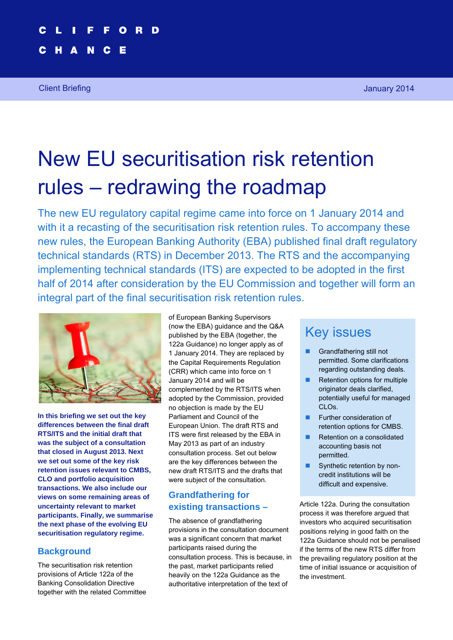# New EU securitisation risk retention rules – redrawing the roadmap

The new EU regulatory capital regime came into force on 1 January 2014 and with it a recasting of the securitisation risk retention rules. To accompany these new rules, the European Banking Authority (EBA) published final draft regulatory technical standards (RTS) in December 2013. The RTS and the accompanying implementing technical standards (ITS) are expected to be adopted in the first half of 2014 after consideration by the EU Commission and together will form an integral part of the final securitisation risk retention rules.



**In this briefing we set out the key differences between the final draft RTS/ITS and the initial draft that was the subject of a consultation that closed in August 2013. Next we set out some of the key risk retention issues relevant to CMBS, CLO and portfolio acquisition transactions. We also include our views on some remaining areas of uncertainty relevant to market participants. Finally, we summarise the next phase of the evolving EU securitisation regulatory regime.** 

#### **Background**

The securitisation risk retention provisions of Article 122a of the Banking Consolidation Directive together with the related Committee of European Banking Supervisors (now the EBA) guidance and the Q&A published by the EBA (together, the 122a Guidance) no longer apply as of 1 January 2014. They are replaced by the Capital Requirements Regulation (CRR) which came into force on 1 January 2014 and will be complemented by the RTS/ITS when adopted by the Commission, provided no objection is made by the EU Parliament and Council of the European Union. The draft RTS and ITS were first released by the EBA in May 2013 as part of an industry consultation process. Set out below are the key differences between the new draft RTS/ITS and the drafts that were subject of the consultation.

## **Grandfathering for existing transactions –**

The absence of grandfathering provisions in the consultation document was a significant concern that market participants raised during the consultation process. This is because, in the past, market participants relied heavily on the 122a Guidance as the authoritative interpretation of the text of

# Key issues

- Grandfathering still not permitted. Some clarifications regarding outstanding deals.
- $\blacksquare$  Retention options for multiple originator deals clarified, potentially useful for managed CLOs.
- **Further consideration of** retention options for CMBS.
- Retention on a consolidated accounting basis not permitted.
- Synthetic retention by noncredit institutions will be difficult and expensive.

Article 122a. During the consultation process it was therefore argued that investors who acquired securitisation positions relying in good faith on the 122a Guidance should not be penalised if the terms of the new RTS differ from the prevailing regulatory position at the time of initial issuance or acquisition of the investment.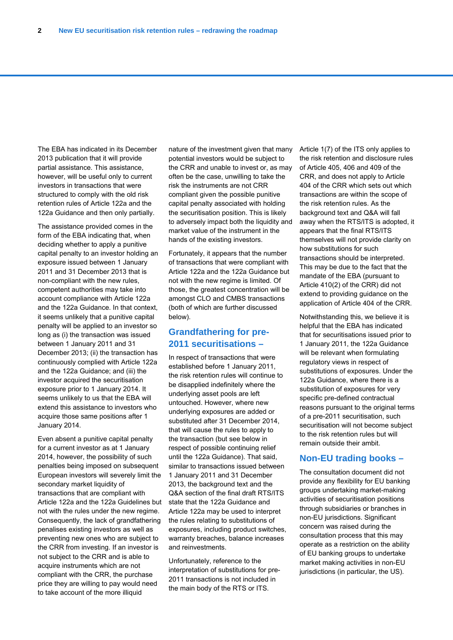The EBA has indicated in its December 2013 publication that it will provide partial assistance. This assistance, however, will be useful only to current investors in transactions that were structured to comply with the old risk retention rules of Article 122a and the 122a Guidance and then only partially.

The assistance provided comes in the form of the EBA indicating that, when deciding whether to apply a punitive capital penalty to an investor holding an exposure issued between 1 January 2011 and 31 December 2013 that is non-compliant with the new rules, competent authorities may take into account compliance with Article 122a and the 122a Guidance. In that context, it seems unlikely that a punitive capital penalty will be applied to an investor so long as (i) the transaction was issued between 1 January 2011 and 31 December 2013; (ii) the transaction has continuously complied with Article 122a and the 122a Guidance; and (iii) the investor acquired the securitisation exposure prior to 1 January 2014. It seems unlikely to us that the EBA will extend this assistance to investors who acquire those same positions after 1 January 2014.

Even absent a punitive capital penalty for a current investor as at 1 January 2014, however, the possibility of such penalties being imposed on subsequent European investors will severely limit the secondary market liquidity of transactions that are compliant with Article 122a and the 122a Guidelines but not with the rules under the new regime. Consequently, the lack of grandfathering penalises existing investors as well as preventing new ones who are subject to the CRR from investing. If an investor is not subject to the CRR and is able to acquire instruments which are not compliant with the CRR, the purchase price they are willing to pay would need to take account of the more illiquid

nature of the investment given that many potential investors would be subject to the CRR and unable to invest or, as may often be the case, unwilling to take the risk the instruments are not CRR compliant given the possible punitive capital penalty associated with holding the securitisation position. This is likely to adversely impact both the liquidity and market value of the instrument in the hands of the existing investors.

Fortunately, it appears that the number of transactions that were compliant with Article 122a and the 122a Guidance but not with the new regime is limited. Of those, the greatest concentration will be amongst CLO and CMBS transactions (both of which are further discussed below).

#### **Grandfathering for pre-2011 securitisations –**

In respect of transactions that were established before 1 January 2011, the risk retention rules will continue to be disapplied indefinitely where the underlying asset pools are left untouched. However, where new underlying exposures are added or substituted after 31 December 2014, that will cause the rules to apply to the transaction (but see below in respect of possible continuing relief until the 122a Guidance). That said, similar to transactions issued between 1 January 2011 and 31 December 2013, the background text and the Q&A section of the final draft RTS/ITS state that the 122a Guidance and Article 122a may be used to interpret the rules relating to substitutions of exposures, including product switches, warranty breaches, balance increases and reinvestments.

Unfortunately, reference to the interpretation of substitutions for pre-2011 transactions is not included in the main body of the RTS or ITS.

Article 1(7) of the ITS only applies to the risk retention and disclosure rules of Article 405, 406 and 409 of the CRR, and does not apply to Article 404 of the CRR which sets out which transactions are within the scope of the risk retention rules. As the background text and Q&A will fall away when the RTS/ITS is adopted, it appears that the final RTS/ITS themselves will not provide clarity on how substitutions for such transactions should be interpreted. This may be due to the fact that the mandate of the EBA (pursuant to Article 410(2) of the CRR) did not extend to providing guidance on the application of Article 404 of the CRR.

Notwithstanding this, we believe it is helpful that the EBA has indicated that for securitisations issued prior to 1 January 2011, the 122a Guidance will be relevant when formulating regulatory views in respect of substitutions of exposures. Under the 122a Guidance, where there is a substitution of exposures for very specific pre-defined contractual reasons pursuant to the original terms of a pre-2011 securitisation, such securitisation will not become subject to the risk retention rules but will remain outside their ambit.

#### **Non-EU trading books –**

The consultation document did not provide any flexibility for EU banking groups undertaking market-making activities of securitisation positions through subsidiaries or branches in non-EU jurisdictions. Significant concern was raised during the consultation process that this may operate as a restriction on the ability of EU banking groups to undertake market making activities in non-EU jurisdictions (in particular, the US).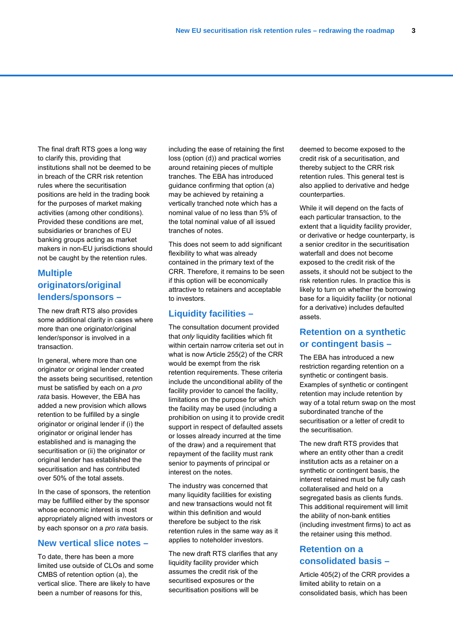The final draft RTS goes a long way to clarify this, providing that institutions shall not be deemed to be in breach of the CRR risk retention rules where the securitisation positions are held in the trading book for the purposes of market making activities (among other conditions). Provided these conditions are met, subsidiaries or branches of EU banking groups acting as market makers in non-EU jurisdictions should not be caught by the retention rules.

### **Multiple originators/original lenders/sponsors –**

The new draft RTS also provides some additional clarity in cases where more than one originator/original lender/sponsor is involved in a transaction.

In general, where more than one originator or original lender created the assets being securitised, retention must be satisfied by each on a *pro rata* basis. However, the EBA has added a new provision which allows retention to be fulfilled by a single originator or original lender if (i) the originator or original lender has established and is managing the securitisation or (ii) the originator or original lender has established the securitisation and has contributed over 50% of the total assets.

In the case of sponsors, the retention may be fulfilled either by the sponsor whose economic interest is most appropriately aligned with investors or by each sponsor on a *pro rata* basis.

#### **New vertical slice notes –**

To date, there has been a more limited use outside of CLOs and some CMBS of retention option (a), the vertical slice. There are likely to have been a number of reasons for this,

including the ease of retaining the first loss (option (d)) and practical worries around retaining pieces of multiple tranches. The EBA has introduced guidance confirming that option (a) may be achieved by retaining a vertically tranched note which has a nominal value of no less than 5% of the total nominal value of all issued tranches of notes.

This does not seem to add significant flexibility to what was already contained in the primary text of the CRR. Therefore, it remains to be seen if this option will be economically attractive to retainers and acceptable to investors.

#### **Liquidity facilities –**

The consultation document provided that *only* liquidity facilities which fit within certain narrow criteria set out in what is now Article 255(2) of the CRR would be exempt from the risk retention requirements. These criteria include the unconditional ability of the facility provider to cancel the facility, limitations on the purpose for which the facility may be used (including a prohibition on using it to provide credit support in respect of defaulted assets or losses already incurred at the time of the draw) and a requirement that repayment of the facility must rank senior to payments of principal or interest on the notes.

The industry was concerned that many liquidity facilities for existing and new transactions would not fit within this definition and would therefore be subject to the risk retention rules in the same way as it applies to noteholder investors.

The new draft RTS clarifies that any liquidity facility provider which assumes the credit risk of the securitised exposures or the securitisation positions will be

deemed to become exposed to the credit risk of a securitisation, and thereby subject to the CRR risk retention rules. This general test is also applied to derivative and hedge counterparties.

While it will depend on the facts of each particular transaction, to the extent that a liquidity facility provider. or derivative or hedge counterparty, is a senior creditor in the securitisation waterfall and does not become exposed to the credit risk of the assets, it should not be subject to the risk retention rules. In practice this is likely to turn on whether the borrowing base for a liquidity facility (or notional for a derivative) includes defaulted assets.

#### **Retention on a synthetic or contingent basis –**

The EBA has introduced a new restriction regarding retention on a synthetic or contingent basis. Examples of synthetic or contingent retention may include retention by way of a total return swap on the most subordinated tranche of the securitisation or a letter of credit to the securitisation.

The new draft RTS provides that where an entity other than a credit institution acts as a retainer on a synthetic or contingent basis, the interest retained must be fully cash collateralised and held on a segregated basis as clients funds. This additional requirement will limit the ability of non-bank entities (including investment firms) to act as the retainer using this method.

#### **Retention on a consolidated basis –**

Article 405(2) of the CRR provides a limited ability to retain on a consolidated basis, which has been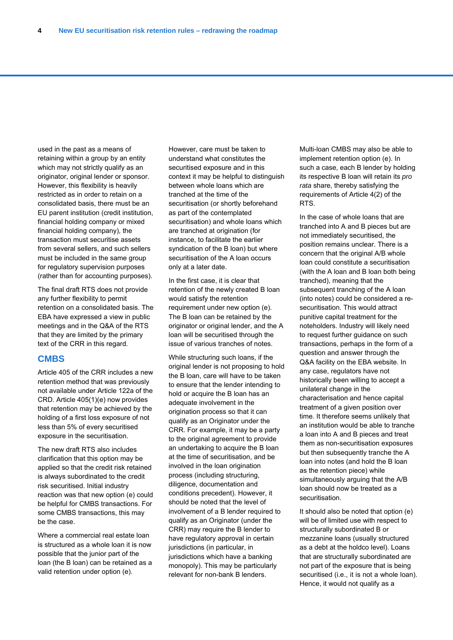used in the past as a means of retaining within a group by an entity which may not strictly qualify as an originator, original lender or sponsor. However, this flexibility is heavily restricted as in order to retain on a consolidated basis, there must be an EU parent institution (credit institution, financial holding company or mixed financial holding company), the transaction must securitise assets from several sellers, and such sellers must be included in the same group for regulatory supervision purposes (rather than for accounting purposes).

The final draft RTS does not provide any further flexibility to permit retention on a consolidated basis. The EBA have expressed a view in public meetings and in the Q&A of the RTS that they are limited by the primary text of the CRR in this regard.

#### **CMBS**

Article 405 of the CRR includes a new retention method that was previously not available under Article 122a of the CRD. Article 405(1)(e) now provides that retention may be achieved by the holding of a first loss exposure of not less than 5% of every securitised exposure in the securitisation.

The new draft RTS also includes clarification that this option may be applied so that the credit risk retained is always subordinated to the credit risk securitised. Initial industry reaction was that new option (e) could be helpful for CMBS transactions. For some CMBS transactions, this may be the case.

Where a commercial real estate loan is structured as a whole loan it is now possible that the junior part of the loan (the B loan) can be retained as a valid retention under option (e).

However, care must be taken to understand what constitutes the securitised exposure and in this context it may be helpful to distinguish between whole loans which are tranched at the time of the securitisation (or shortly beforehand as part of the contemplated securitisation) and whole loans which are tranched at origination (for instance, to facilitate the earlier syndication of the B loan) but where securitisation of the A loan occurs only at a later date.

In the first case, it is clear that retention of the newly created B loan would satisfy the retention requirement under new option (e). The B loan can be retained by the originator or original lender, and the A loan will be securitised through the issue of various tranches of notes.

While structuring such loans, if the original lender is not proposing to hold the B loan, care will have to be taken to ensure that the lender intending to hold or acquire the B loan has an adequate involvement in the origination process so that it can qualify as an Originator under the CRR. For example, it may be a party to the original agreement to provide an undertaking to acquire the B loan at the time of securitisation, and be involved in the loan origination process (including structuring, diligence, documentation and conditions precedent). However, it should be noted that the level of involvement of a B lender required to qualify as an Originator (under the CRR) may require the B lender to have regulatory approval in certain jurisdictions (in particular, in jurisdictions which have a banking monopoly). This may be particularly relevant for non-bank B lenders.

Multi-loan CMBS may also be able to implement retention option (e). In such a case, each B lender by holding its respective B loan will retain its *pro rata* share, thereby satisfying the requirements of Article 4(2) of the RTS.

In the case of whole loans that are tranched into A and B pieces but are not immediately securitised, the position remains unclear. There is a concern that the original A/B whole loan could constitute a securitisation (with the A loan and B loan both being tranched), meaning that the subsequent tranching of the A loan (into notes) could be considered a resecuritisation. This would attract punitive capital treatment for the noteholders. Industry will likely need to request further guidance on such transactions, perhaps in the form of a question and answer through the Q&A facility on the EBA website. In any case, regulators have not historically been willing to accept a unilateral change in the characterisation and hence capital treatment of a given position over time. It therefore seems unlikely that an institution would be able to tranche a loan into A and B pieces and treat them as non-securitisation exposures but then subsequently tranche the A loan into notes (and hold the B loan as the retention piece) while simultaneously arguing that the A/B loan should now be treated as a securitisation.

It should also be noted that option (e) will be of limited use with respect to structurally subordinated B or mezzanine loans (usually structured as a debt at the holdco level). Loans that are structurally subordinated are not part of the exposure that is being securitised (i.e., it is not a whole loan). Hence, it would not qualify as a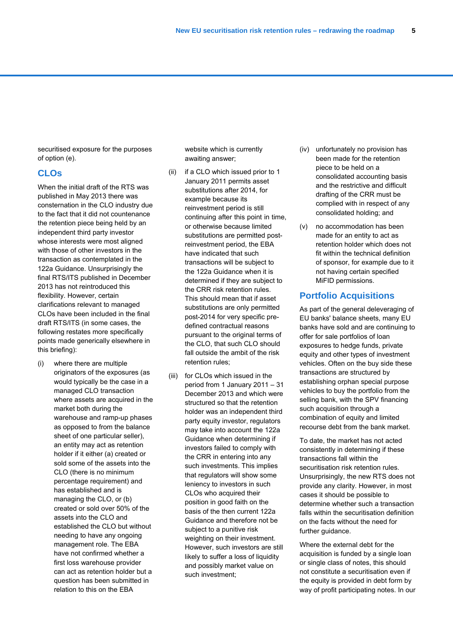securitised exposure for the purposes of option (e).

#### **CLOs**

When the initial draft of the RTS was published in May 2013 there was consternation in the CLO industry due to the fact that it did not countenance the retention piece being held by an independent third party investor whose interests were most aligned with those of other investors in the transaction as contemplated in the 122a Guidance. Unsurprisingly the final RTS/ITS published in December 2013 has not reintroduced this flexibility. However, certain clarifications relevant to managed CLOs have been included in the final draft RTS/ITS (in some cases, the following restates more specifically points made generically elsewhere in this briefing):

(i) where there are multiple originators of the exposures (as would typically be the case in a managed CLO transaction where assets are acquired in the market both during the warehouse and ramp-up phases as opposed to from the balance sheet of one particular seller), an entity may act as retention holder if it either (a) created or sold some of the assets into the CLO (there is no minimum percentage requirement) and has established and is managing the CLO, or (b) created or sold over 50% of the assets into the CLO and established the CLO but without needing to have any ongoing management role. The EBA have not confirmed whether a first loss warehouse provider can act as retention holder but a question has been submitted in relation to this on the EBA

website which is currently awaiting answer;

- (ii) if a CLO which issued prior to 1 January 2011 permits asset substitutions after 2014, for example because its reinvestment period is still continuing after this point in time, or otherwise because limited substitutions are permitted postreinvestment period, the EBA have indicated that such transactions will be subject to the 122a Guidance when it is determined if they are subject to the CRR risk retention rules. This should mean that if asset substitutions are only permitted post-2014 for very specific predefined contractual reasons pursuant to the original terms of the CLO, that such CLO should fall outside the ambit of the risk retention rules;
- (iii) for CLOs which issued in the period from 1 January 2011 – 31 December 2013 and which were structured so that the retention holder was an independent third party equity investor, regulators may take into account the 122a Guidance when determining if investors failed to comply with the CRR in entering into any such investments. This implies that regulators will show some leniency to investors in such CLOs who acquired their position in good faith on the basis of the then current 122a Guidance and therefore not be subject to a punitive risk weighting on their investment. However, such investors are still likely to suffer a loss of liquidity and possibly market value on such investment;
- (iv) unfortunately no provision has been made for the retention piece to be held on a consolidated accounting basis and the restrictive and difficult drafting of the CRR must be complied with in respect of any consolidated holding; and
- (v) no accommodation has been made for an entity to act as retention holder which does not fit within the technical definition of sponsor, for example due to it not having certain specified MiFID permissions.

#### **Portfolio Acquisitions**

As part of the general deleveraging of EU banks' balance sheets, many EU banks have sold and are continuing to offer for sale portfolios of loan exposures to hedge funds, private equity and other types of investment vehicles. Often on the buy side these transactions are structured by establishing orphan special purpose vehicles to buy the portfolio from the selling bank, with the SPV financing such acquisition through a combination of equity and limited recourse debt from the bank market.

To date, the market has not acted consistently in determining if these transactions fall within the securitisation risk retention rules. Unsurprisingly, the new RTS does not provide any clarity. However, in most cases it should be possible to determine whether such a transaction falls within the securitisation definition on the facts without the need for further guidance.

Where the external debt for the acquisition is funded by a single loan or single class of notes, this should not constitute a securitisation even if the equity is provided in debt form by way of profit participating notes. In our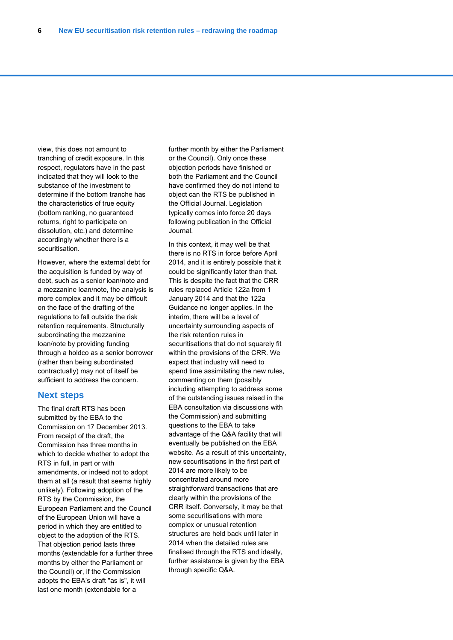view, this does not amount to tranching of credit exposure. In this respect, regulators have in the past indicated that they will look to the substance of the investment to determine if the bottom tranche has the characteristics of true equity (bottom ranking, no guaranteed returns, right to participate on dissolution, etc.) and determine accordingly whether there is a securitisation.

However, where the external debt for the acquisition is funded by way of debt, such as a senior loan/note and a mezzanine loan/note, the analysis is more complex and it may be difficult on the face of the drafting of the regulations to fall outside the risk retention requirements. Structurally subordinating the mezzanine loan/note by providing funding through a holdco as a senior borrower (rather than being subordinated contractually) may not of itself be sufficient to address the concern.

#### **Next steps**

The final draft RTS has been submitted by the EBA to the Commission on 17 December 2013. From receipt of the draft, the Commission has three months in which to decide whether to adopt the RTS in full, in part or with amendments, or indeed not to adopt them at all (a result that seems highly unlikely). Following adoption of the RTS by the Commission, the European Parliament and the Council of the European Union will have a period in which they are entitled to object to the adoption of the RTS. That objection period lasts three months (extendable for a further three months by either the Parliament or the Council) or, if the Commission adopts the EBA's draft "as is", it will last one month (extendable for a

further month by either the Parliament or the Council). Only once these objection periods have finished or both the Parliament and the Council have confirmed they do not intend to object can the RTS be published in the Official Journal. Legislation typically comes into force 20 days following publication in the Official Journal.

In this context, it may well be that there is no RTS in force before April 2014, and it is entirely possible that it could be significantly later than that. This is despite the fact that the CRR rules replaced Article 122a from 1 January 2014 and that the 122a Guidance no longer applies. In the interim, there will be a level of uncertainty surrounding aspects of the risk retention rules in securitisations that do not squarely fit within the provisions of the CRR. We expect that industry will need to spend time assimilating the new rules. commenting on them (possibly including attempting to address some of the outstanding issues raised in the EBA consultation via discussions with the Commission) and submitting questions to the EBA to take advantage of the Q&A facility that will eventually be published on the EBA website. As a result of this uncertainty, new securitisations in the first part of 2014 are more likely to be concentrated around more straightforward transactions that are clearly within the provisions of the CRR itself. Conversely, it may be that some securitisations with more complex or unusual retention structures are held back until later in 2014 when the detailed rules are finalised through the RTS and ideally, further assistance is given by the EBA through specific Q&A.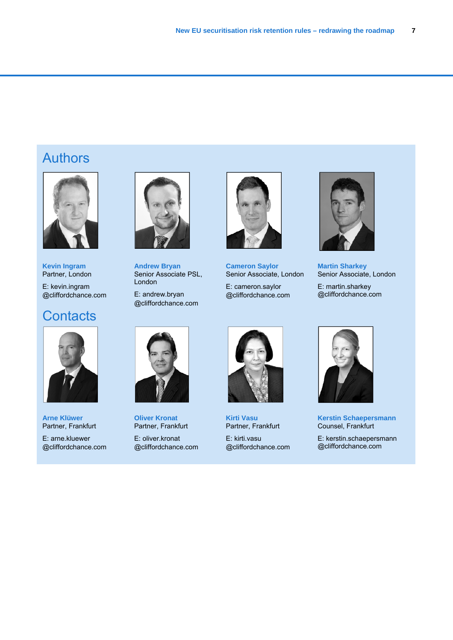# Authors



**Kevin Ingram**  Partner, London

E: kevin.ingram @cliffordchance.com

## **Contacts**



**Arne Klüwer**  Partner, Frankfurt

E: arne.kluewer @cliffordchance.com



**Andrew Bryan**  Senior Associate PSL, London

E: andrew.bryan @cliffordchance.com



**Cameron Saylor**  Senior Associate, London

E: cameron.saylor @cliffordchance.com



**Martin Sharkey**  Senior Associate, London

E: martin.sharkey @cliffordchance.com



**Oliver Kronat**  Partner, Frankfurt

E: oliver.kronat @cliffordchance.com



**Kirti Vasu**  Partner, Frankfurt

E: kirti.vasu @cliffordchance.com



**Kerstin Schaepersmann**  Counsel, Frankfurt

E: kerstin.schaepersmann @cliffordchance.com